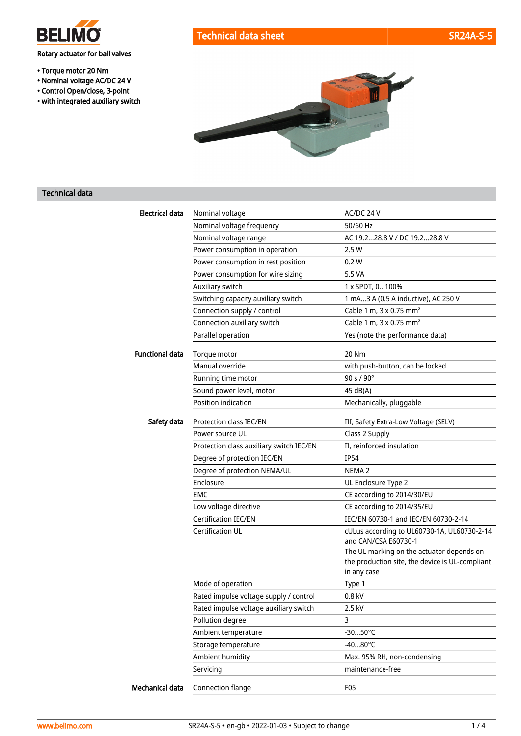

# Rotary actuator for ball valves

- Torque motor 20 Nm
- Nominal voltage AC/DC 24 V
- Control Open/close, 3-point
- with integrated auxiliary switch



#### Technical data

| <b>Electrical data</b> | Nominal voltage                          | AC/DC 24 V                                                                                                  |
|------------------------|------------------------------------------|-------------------------------------------------------------------------------------------------------------|
|                        | Nominal voltage frequency                | 50/60 Hz                                                                                                    |
|                        | Nominal voltage range                    | AC 19.228.8 V / DC 19.228.8 V                                                                               |
|                        | Power consumption in operation           | 2.5 W                                                                                                       |
|                        | Power consumption in rest position       | 0.2 W                                                                                                       |
|                        | Power consumption for wire sizing        | 5.5 VA                                                                                                      |
|                        | Auxiliary switch                         | 1 x SPDT, 0100%                                                                                             |
|                        | Switching capacity auxiliary switch      | 1 mA3 A (0.5 A inductive), AC 250 V                                                                         |
|                        | Connection supply / control              | Cable 1 m, 3 x 0.75 mm <sup>2</sup>                                                                         |
|                        | Connection auxiliary switch              | Cable 1 m, 3 x 0.75 mm <sup>2</sup>                                                                         |
|                        | Parallel operation                       | Yes (note the performance data)                                                                             |
| <b>Functional data</b> | Torque motor                             | 20 Nm                                                                                                       |
|                        | Manual override                          | with push-button, can be locked                                                                             |
|                        | Running time motor                       | 90 s / 90°                                                                                                  |
|                        | Sound power level, motor                 | 45 dB(A)                                                                                                    |
|                        | Position indication                      | Mechanically, pluggable                                                                                     |
| Safety data            | Protection class IEC/EN                  | III, Safety Extra-Low Voltage (SELV)                                                                        |
|                        | Power source UL                          | Class 2 Supply                                                                                              |
|                        | Protection class auxiliary switch IEC/EN | II, reinforced insulation                                                                                   |
|                        | Degree of protection IEC/EN              | <b>IP54</b>                                                                                                 |
|                        | Degree of protection NEMA/UL             | NEMA <sub>2</sub>                                                                                           |
|                        | Enclosure                                | UL Enclosure Type 2                                                                                         |
|                        | EMC                                      | CE according to 2014/30/EU                                                                                  |
|                        | Low voltage directive                    | CE according to 2014/35/EU                                                                                  |
|                        | <b>Certification IEC/EN</b>              | IEC/EN 60730-1 and IEC/EN 60730-2-14                                                                        |
|                        | <b>Certification UL</b>                  | cULus according to UL60730-1A, UL60730-2-14<br>and CAN/CSA E60730-1                                         |
|                        |                                          | The UL marking on the actuator depends on<br>the production site, the device is UL-compliant<br>in any case |
|                        | Mode of operation                        | Type 1                                                                                                      |
|                        | Rated impulse voltage supply / control   | 0.8 kV                                                                                                      |
|                        | Rated impulse voltage auxiliary switch   | 2.5 kV                                                                                                      |
|                        | Pollution degree                         | 3                                                                                                           |
|                        | Ambient temperature                      | $-3050^{\circ}$ C                                                                                           |
|                        | Storage temperature                      | $-4080^{\circ}$ C                                                                                           |
|                        | Ambient humidity                         | Max. 95% RH, non-condensing                                                                                 |
|                        | Servicing                                | maintenance-free                                                                                            |
| Mechanical data        | Connection flange                        | F05                                                                                                         |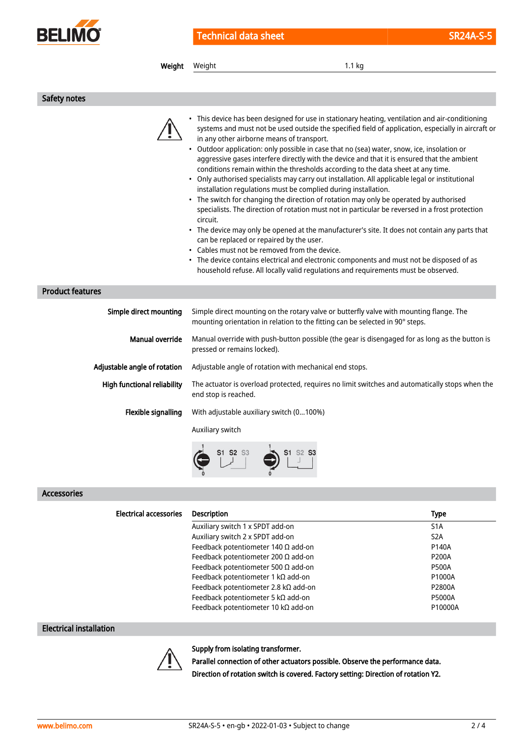

| Weight                       | Weight<br>1.1 kg                                                                                                                                                                                                                                                                                                                                                                                                                                                                                                                                                                                                                                                                                                                                                                                                                                                                                                                                                                                                                                                                                                                                                                                                                                                                                  |  |  |  |
|------------------------------|---------------------------------------------------------------------------------------------------------------------------------------------------------------------------------------------------------------------------------------------------------------------------------------------------------------------------------------------------------------------------------------------------------------------------------------------------------------------------------------------------------------------------------------------------------------------------------------------------------------------------------------------------------------------------------------------------------------------------------------------------------------------------------------------------------------------------------------------------------------------------------------------------------------------------------------------------------------------------------------------------------------------------------------------------------------------------------------------------------------------------------------------------------------------------------------------------------------------------------------------------------------------------------------------------|--|--|--|
|                              |                                                                                                                                                                                                                                                                                                                                                                                                                                                                                                                                                                                                                                                                                                                                                                                                                                                                                                                                                                                                                                                                                                                                                                                                                                                                                                   |  |  |  |
| Safety notes                 |                                                                                                                                                                                                                                                                                                                                                                                                                                                                                                                                                                                                                                                                                                                                                                                                                                                                                                                                                                                                                                                                                                                                                                                                                                                                                                   |  |  |  |
|                              | This device has been designed for use in stationary heating, ventilation and air-conditioning<br>systems and must not be used outside the specified field of application, especially in aircraft or<br>in any other airborne means of transport.<br>• Outdoor application: only possible in case that no (sea) water, snow, ice, insolation or<br>aggressive gases interfere directly with the device and that it is ensured that the ambient<br>conditions remain within the thresholds according to the data sheet at any time.<br>• Only authorised specialists may carry out installation. All applicable legal or institutional<br>installation regulations must be complied during installation.<br>• The switch for changing the direction of rotation may only be operated by authorised<br>specialists. The direction of rotation must not in particular be reversed in a frost protection<br>circuit.<br>• The device may only be opened at the manufacturer's site. It does not contain any parts that<br>can be replaced or repaired by the user.<br>• Cables must not be removed from the device.<br>• The device contains electrical and electronic components and must not be disposed of as<br>household refuse. All locally valid regulations and requirements must be observed. |  |  |  |
| <b>Product features</b>      |                                                                                                                                                                                                                                                                                                                                                                                                                                                                                                                                                                                                                                                                                                                                                                                                                                                                                                                                                                                                                                                                                                                                                                                                                                                                                                   |  |  |  |
| Simple direct mounting       | Simple direct mounting on the rotary valve or butterfly valve with mounting flange. The<br>mounting orientation in relation to the fitting can be selected in 90° steps.                                                                                                                                                                                                                                                                                                                                                                                                                                                                                                                                                                                                                                                                                                                                                                                                                                                                                                                                                                                                                                                                                                                          |  |  |  |
| Manual override              | Manual override with push-button possible (the gear is disengaged for as long as the button is<br>pressed or remains locked).                                                                                                                                                                                                                                                                                                                                                                                                                                                                                                                                                                                                                                                                                                                                                                                                                                                                                                                                                                                                                                                                                                                                                                     |  |  |  |
| Adjustable angle of rotation | Adjustable angle of rotation with mechanical end stops.                                                                                                                                                                                                                                                                                                                                                                                                                                                                                                                                                                                                                                                                                                                                                                                                                                                                                                                                                                                                                                                                                                                                                                                                                                           |  |  |  |
| High functional reliability  | The actuator is overload protected, requires no limit switches and automatically stops when the<br>end stop is reached.                                                                                                                                                                                                                                                                                                                                                                                                                                                                                                                                                                                                                                                                                                                                                                                                                                                                                                                                                                                                                                                                                                                                                                           |  |  |  |
| Flexible signalling          | With adjustable auxiliary switch (0100%)                                                                                                                                                                                                                                                                                                                                                                                                                                                                                                                                                                                                                                                                                                                                                                                                                                                                                                                                                                                                                                                                                                                                                                                                                                                          |  |  |  |
|                              | Auxiliary switch                                                                                                                                                                                                                                                                                                                                                                                                                                                                                                                                                                                                                                                                                                                                                                                                                                                                                                                                                                                                                                                                                                                                                                                                                                                                                  |  |  |  |
|                              |                                                                                                                                                                                                                                                                                                                                                                                                                                                                                                                                                                                                                                                                                                                                                                                                                                                                                                                                                                                                                                                                                                                                                                                                                                                                                                   |  |  |  |

#### Accessories

| <b>Electrical accessories</b> | <b>Description</b>                         | <b>Type</b>      |
|-------------------------------|--------------------------------------------|------------------|
|                               | Auxiliary switch 1 x SPDT add-on           | S <sub>1</sub> A |
|                               | Auxiliary switch 2 x SPDT add-on           | S <sub>2</sub> A |
|                               | Feedback potentiometer 140 $\Omega$ add-on | P140A            |
|                               | Feedback potentiometer 200 $\Omega$ add-on | <b>P200A</b>     |
|                               | Feedback potentiometer 500 $\Omega$ add-on | <b>P500A</b>     |
|                               | Feedback potentiometer 1 k $\Omega$ add-on | P1000A           |
|                               | Feedback potentiometer 2.8 kΩ add-on       | P2800A           |
|                               | Feedback potentiometer 5 k $\Omega$ add-on | <b>P5000A</b>    |
|                               | Feedback potentiometer 10 kΩ add-on        | P10000A          |

## Electrical installation



# Supply from isolating transformer.

Parallel connection of other actuators possible. Observe the performance data. Direction of rotation switch is covered. Factory setting: Direction of rotation Y2.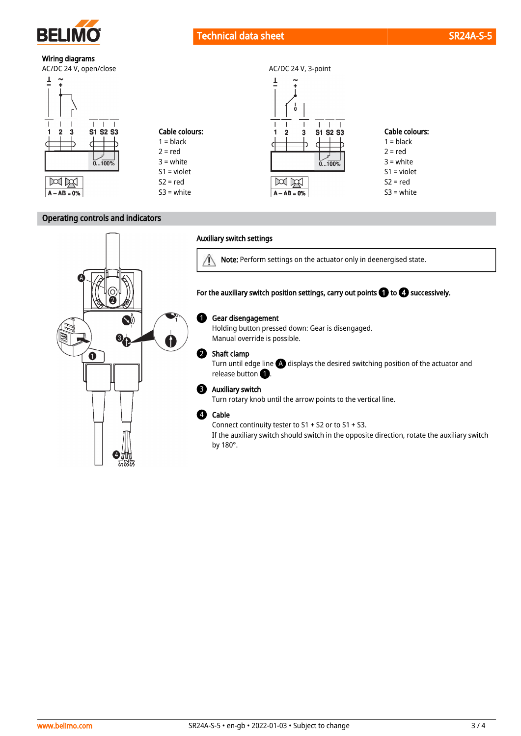

# Technical data sheet SR24A-S-5 and SR24A-S-5 and SR24A-S-5 and SR24A-S-5 and SR24A-S-5 and SR24A-S-5 and SR24A-S-5 and SR24A-S-5 and SR24A-S-5 and SR24A-S-5 and SR24A-S-5 and SR24A-S-5 and SR24A-S-5 and SR24A-S-5 and SR24A

Ţ

 $\frac{1}{2}$ 

 $\overline{\mathbf{3}}$ 

**S1 S2 S3** 

 $0...100%$ 

 $\mathbf{I}$  $\mathbf{I}$  $\mathsf I$  $\mathbf{I}$  $\overline{1}$ 

 $\overline{2}$ 

X

 $A - AB = 0%$ 

Cable colours:  $1 = **black**$  $2 = red$  $3 =$  white S1 = violet  $S2 = red$ S3 = white

# Wiring diagrams





### Operating controls and indicators



#### Auxiliary switch settings

Cable colours:  $1 = **black**$  $2 = red$ 3 = white S1 = violet  $S2 = red$ S3 = white

> Note: Perform settings on the actuator only in deenergised state.  $\vee$

For the auxiliary switch position settings, carry out points  $\bigcirc$  to  $\bigcirc$  successively.

#### Gear disengagement  $\bf{0}$

Holding button pressed down: Gear is disengaged. Manual override is possible.

#### Shaft clamp  $\boldsymbol{Q}$

Turn until edge line  $\bigoplus$  displays the desired switching position of the actuator and release button  $\bigcirc$ .

#### Auxiliary switch 3

Turn rotary knob until the arrow points to the vertical line.

#### Cable 4

Connect continuity tester to S1 + S2 or to S1 + S3.

If the auxiliary switch should switch in the opposite direction, rotate the auxiliary switch by 180°.